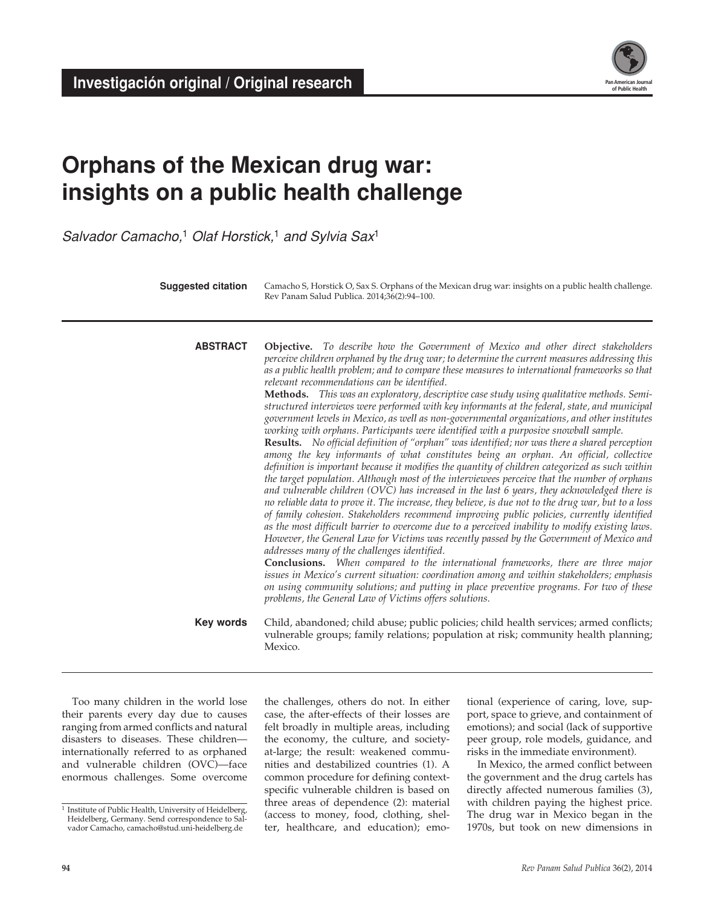**Investigación original / Original research** 



# **Orphans of the Mexican drug war: insights on a public health challenge**

*Salvador Camacho,*1 *Olaf Horstick,*1 *and Sylvia Sax*<sup>1</sup>

| ins of the Mexican drug war:<br>Its on a public health challenge<br>$\mathcal{C}$ amacho, $^1$ Olaf Horstick, $^1$ and Sylvia Sax $^1$                                                                                                                                                                             |                                                                                                                                                                                                                                                                                                                                                                                                                                                                                                                                                                                                                                                                                                                                                                                                                                                                                                                                                                                                                                                                                                                                                                                                                                                                                                                                                                                                                                                                                                                                                                                                                                                                                                                                                                                                                                                                                                                                                                                                                                 |                                                                                                                                                                                                                                                                                                                                                                                                                                                                                |  |  |  |
|--------------------------------------------------------------------------------------------------------------------------------------------------------------------------------------------------------------------------------------------------------------------------------------------------------------------|---------------------------------------------------------------------------------------------------------------------------------------------------------------------------------------------------------------------------------------------------------------------------------------------------------------------------------------------------------------------------------------------------------------------------------------------------------------------------------------------------------------------------------------------------------------------------------------------------------------------------------------------------------------------------------------------------------------------------------------------------------------------------------------------------------------------------------------------------------------------------------------------------------------------------------------------------------------------------------------------------------------------------------------------------------------------------------------------------------------------------------------------------------------------------------------------------------------------------------------------------------------------------------------------------------------------------------------------------------------------------------------------------------------------------------------------------------------------------------------------------------------------------------------------------------------------------------------------------------------------------------------------------------------------------------------------------------------------------------------------------------------------------------------------------------------------------------------------------------------------------------------------------------------------------------------------------------------------------------------------------------------------------------|--------------------------------------------------------------------------------------------------------------------------------------------------------------------------------------------------------------------------------------------------------------------------------------------------------------------------------------------------------------------------------------------------------------------------------------------------------------------------------|--|--|--|
| <b>Suggested citation</b>                                                                                                                                                                                                                                                                                          | Camacho S, Horstick O, Sax S. Orphans of the Mexican drug war: insights on a public health challenge.<br>Rev Panam Salud Publica. 2014;36(2):94–100.                                                                                                                                                                                                                                                                                                                                                                                                                                                                                                                                                                                                                                                                                                                                                                                                                                                                                                                                                                                                                                                                                                                                                                                                                                                                                                                                                                                                                                                                                                                                                                                                                                                                                                                                                                                                                                                                            |                                                                                                                                                                                                                                                                                                                                                                                                                                                                                |  |  |  |
| <b>ABSTRACT</b>                                                                                                                                                                                                                                                                                                    | <b>Objective.</b> To describe how the Government of Mexico and other direct stakeholders<br>perceive children orphaned by the drug war; to determine the current measures addressing this<br>as a public health problem; and to compare these measures to international frameworks so that<br>relevant recommendations can be identified.<br>Methods. This was an exploratory, descriptive case study using qualitative methods. Semi-<br>structured interviews were performed with key informants at the federal, state, and municipal<br>government levels in Mexico, as well as non-governmental organizations, and other institutes<br>working with orphans. Participants were identified with a purposive snowball sample.<br><b>Results.</b> No official definition of "orphan" was identified; nor was there a shared perception<br>among the key informants of what constitutes being an orphan. An official, collective<br>definition is important because it modifies the quantity of children categorized as such within<br>the target population. Although most of the interviewees perceive that the number of orphans<br>and vulnerable children (OVC) has increased in the last 6 years, they acknowledged there is<br>no reliable data to prove it. The increase, they believe, is due not to the drug war, but to a loss<br>of family cohesion. Stakeholders recommend improving public policies, currently identified<br>as the most difficult barrier to overcome due to a perceived inability to modify existing laws.<br>However, the General Law for Victims was recently passed by the Government of Mexico and<br>addresses many of the challenges identified.<br>Conclusions. When compared to the international frameworks, there are three major<br>issues in Mexico's current situation: coordination among and within stakeholders; emphasis<br>on using community solutions; and putting in place preventive programs. For two of these<br>problems, the General Law of Victims offers solutions. |                                                                                                                                                                                                                                                                                                                                                                                                                                                                                |  |  |  |
| Key words                                                                                                                                                                                                                                                                                                          | Child, abandoned; child abuse; public policies; child health services; armed conflicts;<br>vulnerable groups; family relations; population at risk; community health planning;<br>Mexico.                                                                                                                                                                                                                                                                                                                                                                                                                                                                                                                                                                                                                                                                                                                                                                                                                                                                                                                                                                                                                                                                                                                                                                                                                                                                                                                                                                                                                                                                                                                                                                                                                                                                                                                                                                                                                                       |                                                                                                                                                                                                                                                                                                                                                                                                                                                                                |  |  |  |
| children in the world lose<br>every day due to causes<br>armed conflicts and natural<br>liseases. These children—<br>r referred to as orphaned<br>ble children (OVC)—face<br>allenges. Some overcome<br>c Health, University of Heidelberg,<br>nany. Send correspondence to Sal-<br>camacho@stud.uni-heidelberg.de | the challenges, others do not. In either<br>case, the after-effects of their losses are<br>felt broadly in multiple areas, including<br>the economy, the culture, and society-<br>at-large; the result: weakened commu-<br>nities and destabilized countries (1). A<br>common procedure for defining context-<br>specific vulnerable children is based on<br>three areas of dependence (2): material<br>(access to money, food, clothing, shel-<br>ter, healthcare, and education); emo-                                                                                                                                                                                                                                                                                                                                                                                                                                                                                                                                                                                                                                                                                                                                                                                                                                                                                                                                                                                                                                                                                                                                                                                                                                                                                                                                                                                                                                                                                                                                        | tional (experience of caring, love, sup-<br>port, space to grieve, and containment of<br>emotions); and social (lack of supportive<br>peer group, role models, guidance, and<br>risks in the immediate environment).<br>In Mexico, the armed conflict between<br>the government and the drug cartels has<br>directly affected numerous families (3),<br>with children paying the highest price.<br>The drug war in Mexico began in the<br>1970s, but took on new dimensions in |  |  |  |
|                                                                                                                                                                                                                                                                                                                    |                                                                                                                                                                                                                                                                                                                                                                                                                                                                                                                                                                                                                                                                                                                                                                                                                                                                                                                                                                                                                                                                                                                                                                                                                                                                                                                                                                                                                                                                                                                                                                                                                                                                                                                                                                                                                                                                                                                                                                                                                                 | Rev Panam Salud Publica 36(2), 2014                                                                                                                                                                                                                                                                                                                                                                                                                                            |  |  |  |

Too many children in the world lose their parents every day due to causes ranging from armed conflicts and natural disasters to diseases. These children internationally referred to as orphaned and vulnerable children (OVC)—face enormous challenges. Some overcome

 $\frac{1}{1}$  Institute of Public Health, University of Heidelberg, Heidelberg, Germany. Send correspondence to Salvador Camacho, camacho@stud.uni-heidelberg.de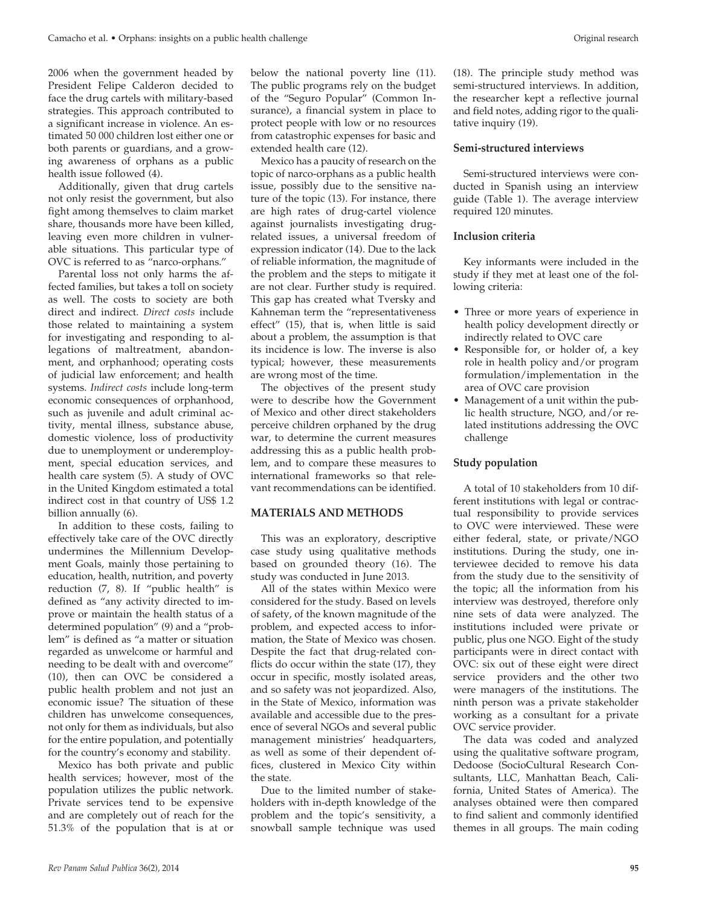2006 when the government headed by President Felipe Calderon decided to face the drug cartels with military-based strategies. This approach contributed to a significant increase in violence. An estimated 50 000 children lost either one or both parents or guardians, and a growing awareness of orphans as a public health issue followed (4).

Additionally, given that drug cartels not only resist the government, but also fight among themselves to claim market share, thousands more have been killed, leaving even more children in vulnerable situations. This particular type of OVC is referred to as "narco-orphans."

Parental loss not only harms the affected families, but takes a toll on society as well. The costs to society are both direct and indirect. *Direct costs* include those related to maintaining a system for investigating and responding to allegations of maltreatment, abandonment, and orphanhood; operating costs of judicial law enforcement; and health systems. *Indirect costs* include long-term economic consequences of orphanhood, such as juvenile and adult criminal activity, mental illness, substance abuse, domestic violence, loss of productivity due to unemployment or underemployment, special education services, and health care system (5). A study of OVC in the United Kingdom estimated a total indirect cost in that country of US\$ 1.2 billion annually (6).

In addition to these costs, failing to effectively take care of the OVC directly undermines the Millennium Development Goals, mainly those pertaining to education, health, nutrition, and poverty reduction (7, 8). If "public health" is defined as "any activity directed to improve or maintain the health status of a determined population" (9) and a "problem" is defined as "a matter or situation regarded as unwelcome or harmful and needing to be dealt with and overcome" (10), then can OVC be considered a public health problem and not just an economic issue? The situation of these children has unwelcome consequences, not only for them as individuals, but also for the entire population, and potentially for the country's economy and stability.

Mexico has both private and public health services; however, most of the population utilizes the public network. Private services tend to be expensive and are completely out of reach for the 51.3% of the population that is at or

below the national poverty line (11). The public programs rely on the budget of the "Seguro Popular" (Common Insurance), a financial system in place to protect people with low or no resources from catastrophic expenses for basic and extended health care (12).

Mexico has a paucity of research on the topic of narco-orphans as a public health issue, possibly due to the sensitive nature of the topic (13). For instance, there are high rates of drug-cartel violence against journalists investigating drugrelated issues, a universal freedom of expression indicator (14). Due to the lack of reliable information, the magnitude of the problem and the steps to mitigate it are not clear. Further study is required. This gap has created what Tversky and Kahneman term the "representativeness effect" (15), that is, when little is said about a problem, the assumption is that its incidence is low. The inverse is also typical; however, these measurements are wrong most of the time.

The objectives of the present study were to describe how the Government of Mexico and other direct stakeholders perceive children orphaned by the drug war, to determine the current measures addressing this as a public health problem, and to compare these measures to international frameworks so that relevant recommendations can be identified.

## **MATERIALS AND METHODS**

This was an exploratory, descriptive case study using qualitative methods based on grounded theory (16). The study was conducted in June 2013.

All of the states within Mexico were considered for the study. Based on levels of safety, of the known magnitude of the problem, and expected access to information, the State of Mexico was chosen. Despite the fact that drug-related conflicts do occur within the state (17), they occur in specific, mostly isolated areas, and so safety was not jeopardized. Also, in the State of Mexico, information was available and accessible due to the presence of several NGOs and several public management ministries' headquarters, as well as some of their dependent offices, clustered in Mexico City within the state.

Due to the limited number of stakeholders with in-depth knowledge of the problem and the topic's sensitivity, a snowball sample technique was used (18). The principle study method was semi-structured interviews. In addition, the researcher kept a reflective journal and field notes, adding rigor to the qualitative inquiry (19).

#### **Semi-structured interviews**

Semi-structured interviews were conducted in Spanish using an interview guide (Table 1). The average interview required 120 minutes.

## **Inclusion criteria**

Key informants were included in the study if they met at least one of the following criteria:

- Three or more years of experience in health policy development directly or indirectly related to OVC care
- Responsible for, or holder of, a key role in health policy and/or program formulation/implementation in the area of OVC care provision
- Management of a unit within the public health structure, NGO, and/or related institutions addressing the OVC challenge

## **Study population**

A total of 10 stakeholders from 10 different institutions with legal or contractual responsibility to provide services to OVC were interviewed. These were either federal, state, or private/NGO institutions. During the study, one interviewee decided to remove his data from the study due to the sensitivity of the topic; all the information from his interview was destroyed, therefore only nine sets of data were analyzed. The institutions included were private or public, plus one NGO. Eight of the study participants were in direct contact with OVC: six out of these eight were direct service providers and the other two were managers of the institutions. The ninth person was a private stakeholder working as a consultant for a private OVC service provider.

The data was coded and analyzed using the qualitative software program, Dedoose (SocioCultural Research Consultants, LLC, Manhattan Beach, California, United States of America). The analyses obtained were then compared to find salient and commonly identified themes in all groups. The main coding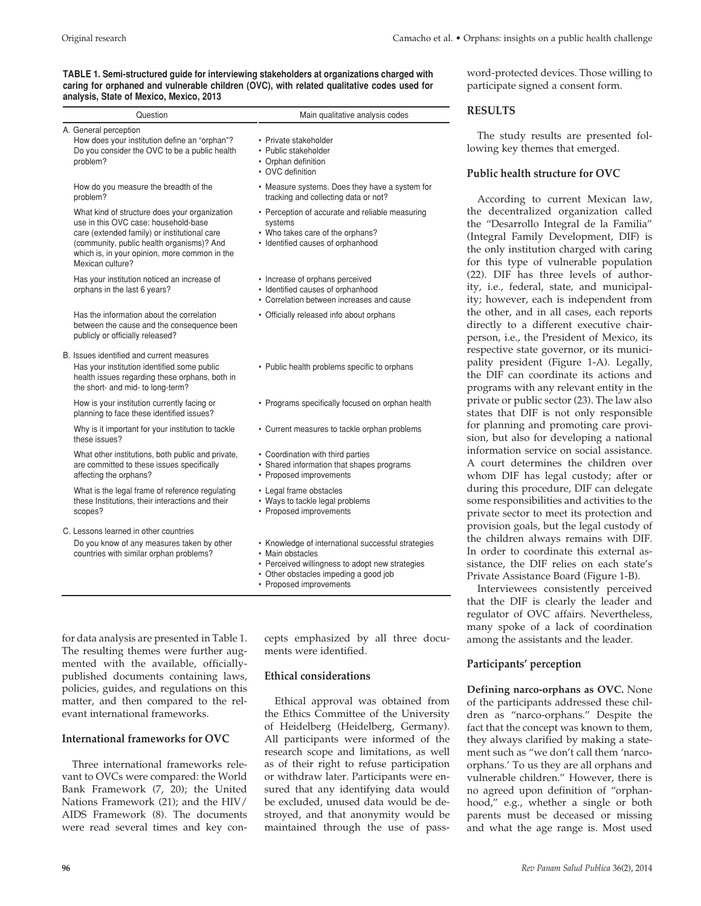## **TABLE 1. Semi-structured guide for interviewing stakeholders at organizations charged with caring for orphaned and vulnerable children (OVC), with related qualitative codes used for analysis, State of Mexico, Mexico, 2013**

| Question                                                                                                                                                                                                                                                | Main qualitative analysis codes                                                                                                                                                               |  |  |
|---------------------------------------------------------------------------------------------------------------------------------------------------------------------------------------------------------------------------------------------------------|-----------------------------------------------------------------------------------------------------------------------------------------------------------------------------------------------|--|--|
| A. General perception<br>How does your institution define an "orphan"?<br>Do you consider the OVC to be a public health<br>problem?                                                                                                                     | • Private stakeholder<br>• Public stakeholder<br>• Orphan definition<br>• OVC definition                                                                                                      |  |  |
| How do you measure the breadth of the<br>problem?                                                                                                                                                                                                       | • Measure systems. Does they have a system for<br>tracking and collecting data or not?                                                                                                        |  |  |
| What kind of structure does your organization<br>use in this OVC case: household-base<br>care (extended family) or institutional care<br>(community, public health organisms)? And<br>which is, in your opinion, more common in the<br>Mexican culture? | • Perception of accurate and reliable measuring<br>systems<br>• Who takes care of the orphans?<br>• Identified causes of orphanhood                                                           |  |  |
| Has your institution noticed an increase of<br>orphans in the last 6 years?                                                                                                                                                                             | • Increase of orphans perceived<br>• Identified causes of orphanhood<br>• Correlation between increases and cause                                                                             |  |  |
| Has the information about the correlation<br>between the cause and the consequence been<br>publicly or officially released?                                                                                                                             | • Officially released info about orphans                                                                                                                                                      |  |  |
| B. Issues identified and current measures<br>Has your institution identified some public<br>health issues regarding these orphans, both in<br>the short- and mid- to long-term?                                                                         | • Public health problems specific to orphans                                                                                                                                                  |  |  |
| How is your institution currently facing or<br>planning to face these identified issues?                                                                                                                                                                | • Programs specifically focused on orphan health                                                                                                                                              |  |  |
| Why is it important for your institution to tackle<br>these issues?                                                                                                                                                                                     | • Current measures to tackle orphan problems                                                                                                                                                  |  |  |
| What other institutions, both public and private,<br>are committed to these issues specifically<br>affecting the orphans?                                                                                                                               | • Coordination with third parties<br>• Shared information that shapes programs<br>• Proposed improvements                                                                                     |  |  |
| What is the legal frame of reference regulating<br>these Institutions, their interactions and their<br>scopes?                                                                                                                                          | • Legal frame obstacles<br>• Ways to tackle legal problems<br>• Proposed improvements                                                                                                         |  |  |
| C. Lessons learned in other countries<br>Do you know of any measures taken by other<br>countries with similar orphan problems?                                                                                                                          | • Knowledge of international successful strategies<br>• Main obstacles<br>• Perceived willingness to adopt new strategies<br>• Other obstacles impeding a good job<br>• Proposed improvements |  |  |

for data analysis are presented in Table 1. The resulting themes were further augmented with the available, officiallypublished documents containing laws, policies, guides, and regulations on this matter, and then compared to the relevant international frameworks.

# **International frameworks for OVC**

Three international frameworks relevant to OVCs were compared: the World Bank Framework (7, 20); the United Nations Framework (21); and the HIV/ AIDS Framework (8). The documents were read several times and key concepts emphasized by all three documents were identified.

#### **Ethical considerations**

Ethical approval was obtained from the Ethics Committee of the University of Heidelberg (Heidelberg, Germany). All participants were informed of the research scope and limitations, as well as of their right to refuse participation or withdraw later. Participants were ensured that any identifying data would be excluded, unused data would be destroyed, and that anonymity would be maintained through the use of password-protected devices. Those willing to participate signed a consent form.

## **RESULTS**

The study results are presented following key themes that emerged.

## **Public health structure for OVC**

According to current Mexican law, the decentralized organization called the "Desarrollo Integral de la Familia" (Integral Family Development, DIF) is the only institution charged with caring for this type of vulnerable population (22). DIF has three levels of authority, i.e., federal, state, and municipality; however, each is independent from the other, and in all cases, each reports directly to a different executive chairperson, i.e., the President of Mexico, its respective state governor, or its municipality president (Figure 1-A). Legally, the DIF can coordinate its actions and programs with any relevant entity in the private or public sector (23). The law also states that DIF is not only responsible for planning and promoting care provision, but also for developing a national information service on social assistance. A court determines the children over whom DIF has legal custody; after or during this procedure, DIF can delegate some responsibilities and activities to the private sector to meet its protection and provision goals, but the legal custody of the children always remains with DIF. In order to coordinate this external assistance, the DIF relies on each state's Private Assistance Board (Figure 1-B).

Interviewees consistently perceived that the DIF is clearly the leader and regulator of OVC affairs. Nevertheless, many spoke of a lack of coordination among the assistants and the leader.

## **Participants' perception**

**Defining narco-orphans as OVC.** None of the participants addressed these children as "narco-orphans." Despite the fact that the concept was known to them, they always clarified by making a statement such as "we don't call them 'narcoorphans.' To us they are all orphans and vulnerable children." However, there is no agreed upon definition of "orphanhood," e.g., whether a single or both parents must be deceased or missing and what the age range is. Most used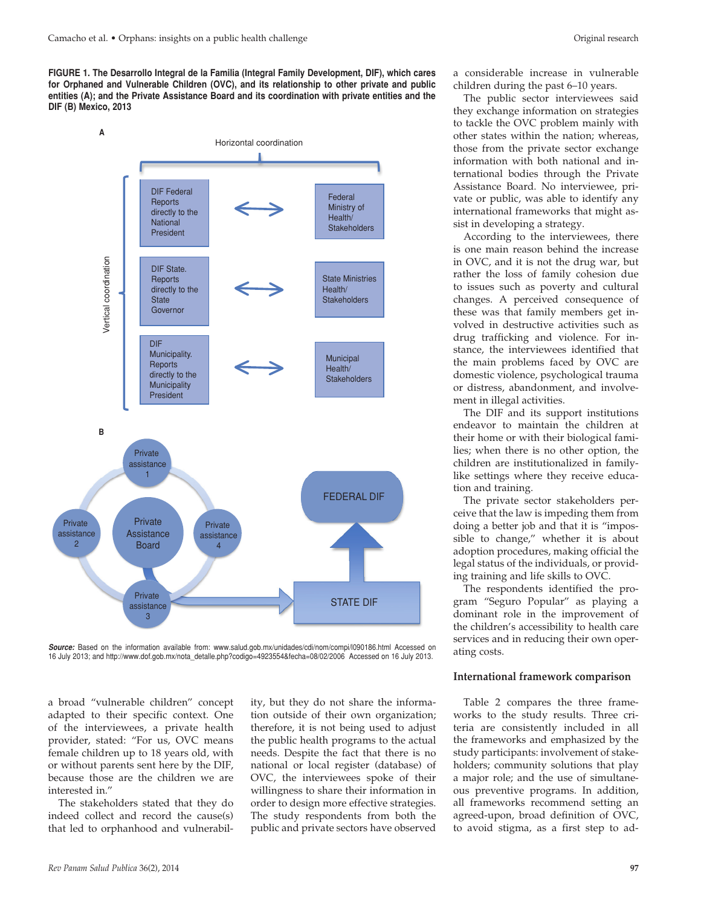**FIGURE 1. The Desarrollo Integral de la Familia (Integral Family Development, DIF), which cares for Orphaned and Vulnerable Children (OVC), and its relationship to other private and public entities (A); and the Private Assistance Board and its coordination with private entities and the DIF (B) Mexico, 2013**



*Source:* Based on the information available from: www.salud.gob.mx/unidades/cdi/nom/compi/l090186.html Accessed on 16 July 2013; and http://www.dof.gob.mx/nota\_detalle.php?codigo=4923554&fecha=08/02/2006 Accessed on 16 July 2013.

a broad "vulnerable children" concept adapted to their specific context. One of the interviewees, a private health provider, stated: "For us, OVC means female children up to 18 years old, with or without parents sent here by the DIF, because those are the children we are interested in."

The stakeholders stated that they do indeed collect and record the cause(s) that led to orphanhood and vulnerability, but they do not share the information outside of their own organization; therefore, it is not being used to adjust the public health programs to the actual needs. Despite the fact that there is no national or local register (database) of OVC, the interviewees spoke of their willingness to share their information in order to design more effective strategies. The study respondents from both the public and private sectors have observed

a considerable increase in vulnerable children during the past 6–10 years.

The public sector interviewees said they exchange information on strategies to tackle the OVC problem mainly with other states within the nation; whereas, those from the private sector exchange information with both national and international bodies through the Private Assistance Board. No interviewee, private or public, was able to identify any international frameworks that might assist in developing a strategy.

According to the interviewees, there is one main reason behind the increase in OVC, and it is not the drug war, but rather the loss of family cohesion due to issues such as poverty and cultural changes. A perceived consequence of these was that family members get involved in destructive activities such as drug trafficking and violence. For instance, the interviewees identified that the main problems faced by OVC are domestic violence, psychological trauma or distress, abandonment, and involvement in illegal activities.

The DIF and its support institutions endeavor to maintain the children at their home or with their biological families; when there is no other option, the children are institutionalized in familylike settings where they receive education and training.

The private sector stakeholders perceive that the law is impeding them from doing a better job and that it is "impossible to change," whether it is about adoption procedures, making official the legal status of the individuals, or providing training and life skills to OVC.

The respondents identified the program "Seguro Popular" as playing a dominant role in the improvement of the children's accessibility to health care services and in reducing their own operating costs.

#### **International framework comparison**

Table 2 compares the three frameworks to the study results. Three criteria are consistently included in all the frameworks and emphasized by the study participants: involvement of stakeholders; community solutions that play a major role; and the use of simultaneous preventive programs. In addition, all frameworks recommend setting an agreed-upon, broad definition of OVC, to avoid stigma, as a first step to ad-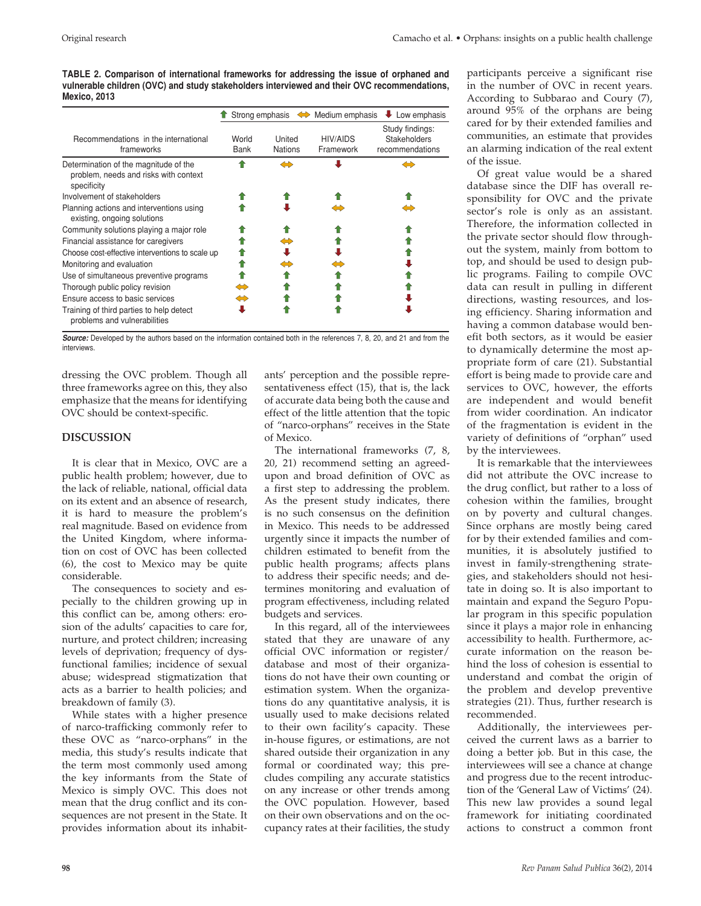**TABLE 2. Comparison of international frameworks for addressing the issue of orphaned and vulnerable children (OVC) and study stakeholders interviewed and their OVC recommendations, Mexico, 2013**

|                                                                                               |               |                          | Strong emphasis $\iff$ Medium emphasis | Low emphasis<br>₩                                  |
|-----------------------------------------------------------------------------------------------|---------------|--------------------------|----------------------------------------|----------------------------------------------------|
| Recommendations in the international<br>frameworks                                            | World<br>Bank | United<br><b>Nations</b> | HIV/AIDS<br>Framework                  | Study findings:<br>Stakeholders<br>recommendations |
| Determination of the magnitude of the<br>problem, needs and risks with context<br>specificity |               | ⇔                        |                                        |                                                    |
| Involvement of stakeholders                                                                   |               |                          |                                        |                                                    |
| Planning actions and interventions using<br>existing, ongoing solutions                       |               |                          |                                        |                                                    |
| Community solutions playing a major role                                                      |               |                          |                                        |                                                    |
| Financial assistance for caregivers                                                           |               |                          |                                        |                                                    |
| Choose cost-effective interventions to scale up                                               |               |                          |                                        |                                                    |
| Monitoring and evaluation                                                                     |               |                          |                                        |                                                    |
| Use of simultaneous preventive programs                                                       |               |                          |                                        |                                                    |
| Thorough public policy revision                                                               | ⇔             |                          |                                        |                                                    |
| Ensure access to basic services                                                               | ⇔             |                          |                                        |                                                    |
| Training of third parties to help detect<br>problems and vulnerabilities                      |               |                          |                                        |                                                    |

*Source:* Developed by the authors based on the information contained both in the references 7, 8, 20, and 21 and from the interviews.

dressing the OVC problem. Though all three frameworks agree on this, they also emphasize that the means for identifying OVC should be context-specific.

# **DISCUSSION**

It is clear that in Mexico, OVC are a public health problem; however, due to the lack of reliable, national, official data on its extent and an absence of research, it is hard to measure the problem's real magnitude. Based on evidence from the United Kingdom, where information on cost of OVC has been collected (6), the cost to Mexico may be quite considerable.

The consequences to society and especially to the children growing up in this conflict can be, among others: erosion of the adults' capacities to care for, nurture, and protect children; increasing levels of deprivation; frequency of dysfunctional families; incidence of sexual abuse; widespread stigmatization that acts as a barrier to health policies; and breakdown of family (3).

While states with a higher presence of narco-trafficking commonly refer to these OVC as "narco-orphans" in the media, this study's results indicate that the term most commonly used among the key informants from the State of Mexico is simply OVC. This does not mean that the drug conflict and its consequences are not present in the State. It provides information about its inhabitants' perception and the possible representativeness effect (15), that is, the lack of accurate data being both the cause and effect of the little attention that the topic of "narco-orphans" receives in the State of Mexico.

The international frameworks (7, 8, 20, 21) recommend setting an agreedupon and broad definition of OVC as a first step to addressing the problem. As the present study indicates, there is no such consensus on the definition in Mexico. This needs to be addressed urgently since it impacts the number of children estimated to benefit from the public health programs; affects plans to address their specific needs; and determines monitoring and evaluation of program effectiveness, including related budgets and services.

In this regard, all of the interviewees stated that they are unaware of any official OVC information or register/ database and most of their organizations do not have their own counting or estimation system. When the organizations do any quantitative analysis, it is usually used to make decisions related to their own facility's capacity. These in-house figures, or estimations, are not shared outside their organization in any formal or coordinated way; this precludes compiling any accurate statistics on any increase or other trends among the OVC population. However, based on their own observations and on the occupancy rates at their facilities, the study

participants perceive a significant rise in the number of OVC in recent years. According to Subbarao and Coury (7), around 95% of the orphans are being cared for by their extended families and communities, an estimate that provides an alarming indication of the real extent of the issue.

Of great value would be a shared database since the DIF has overall responsibility for OVC and the private sector's role is only as an assistant. Therefore, the information collected in the private sector should flow throughout the system, mainly from bottom to top, and should be used to design public programs. Failing to compile OVC data can result in pulling in different directions, wasting resources, and losing efficiency. Sharing information and having a common database would benefit both sectors, as it would be easier to dynamically determine the most appropriate form of care (21). Substantial effort is being made to provide care and services to OVC, however, the efforts are independent and would benefit from wider coordination. An indicator of the fragmentation is evident in the variety of definitions of "orphan" used by the interviewees.

It is remarkable that the interviewees did not attribute the OVC increase to the drug conflict, but rather to a loss of cohesion within the families, brought on by poverty and cultural changes. Since orphans are mostly being cared for by their extended families and communities, it is absolutely justified to invest in family-strengthening strategies, and stakeholders should not hesitate in doing so. It is also important to maintain and expand the Seguro Popular program in this specific population since it plays a major role in enhancing accessibility to health. Furthermore, accurate information on the reason behind the loss of cohesion is essential to understand and combat the origin of the problem and develop preventive strategies (21). Thus, further research is recommended.

Additionally, the interviewees perceived the current laws as a barrier to doing a better job. But in this case, the interviewees will see a chance at change and progress due to the recent introduction of the 'General Law of Victims' (24). This new law provides a sound legal framework for initiating coordinated actions to construct a common front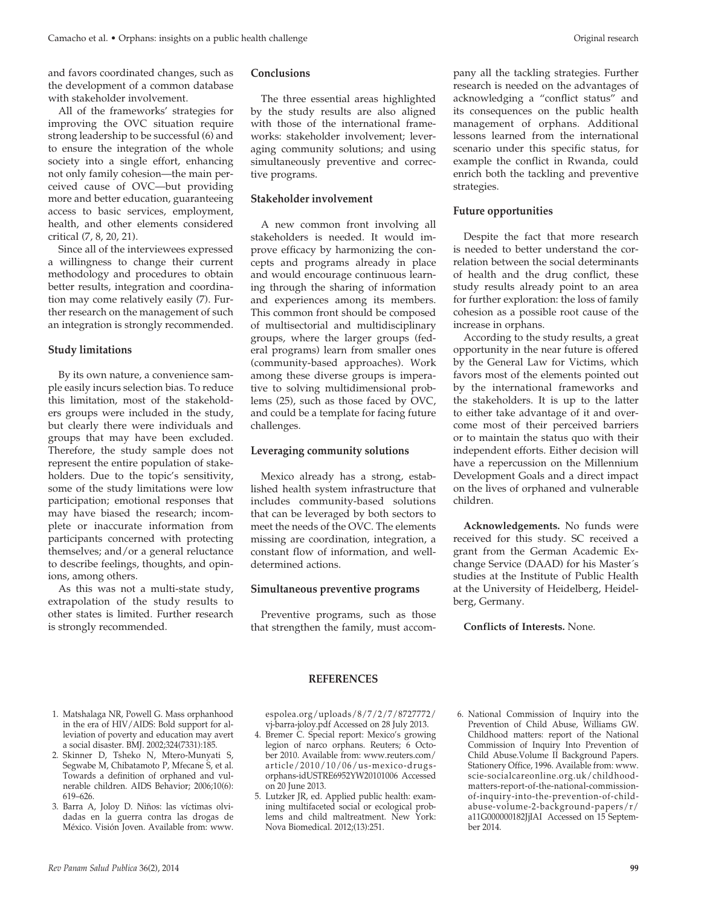and favors coordinated changes, such as the development of a common database with stakeholder involvement.

All of the frameworks' strategies for improving the OVC situation require strong leadership to be successful (6) and to ensure the integration of the whole society into a single effort, enhancing not only family cohesion—the main perceived cause of OVC—but providing more and better education, guaranteeing access to basic services, employment, health, and other elements considered critical (7, 8, 20, 21).

Since all of the interviewees expressed a willingness to change their current methodology and procedures to obtain better results, integration and coordination may come relatively easily (7). Further research on the management of such an integration is strongly recommended.

#### **Study limitations**

By its own nature, a convenience sample easily incurs selection bias. To reduce this limitation, most of the stakeholders groups were included in the study, but clearly there were individuals and groups that may have been excluded. Therefore, the study sample does not represent the entire population of stakeholders. Due to the topic's sensitivity, some of the study limitations were low participation; emotional responses that may have biased the research; incomplete or inaccurate information from participants concerned with protecting themselves; and/or a general reluctance to describe feelings, thoughts, and opinions, among others.

As this was not a multi-state study, extrapolation of the study results to other states is limited. Further research is strongly recommended.

# **Conclusions**

The three essential areas highlighted by the study results are also aligned with those of the international frameworks: stakeholder involvement; leveraging community solutions; and using simultaneously preventive and corrective programs.

#### **Stakeholder involvement**

A new common front involving all stakeholders is needed. It would improve efficacy by harmonizing the concepts and programs already in place and would encourage continuous learning through the sharing of information and experiences among its members. This common front should be composed of multisectorial and multidisciplinary groups, where the larger groups (federal programs) learn from smaller ones (community-based approaches). Work among these diverse groups is imperative to solving multidimensional problems (25), such as those faced by OVC, and could be a template for facing future challenges.

#### **Leveraging community solutions**

Mexico already has a strong, established health system infrastructure that includes community-based solutions that can be leveraged by both sectors to meet the needs of the OVC. The elements missing are coordination, integration, a constant flow of information, and welldetermined actions.

#### **Simultaneous preventive programs**

Preventive programs, such as those that strengthen the family, must accompany all the tackling strategies. Further research is needed on the advantages of acknowledging a "conflict status" and its consequences on the public health management of orphans. Additional lessons learned from the international scenario under this specific status, for example the conflict in Rwanda, could enrich both the tackling and preventive strategies.

## **Future opportunities**

Despite the fact that more research is needed to better understand the correlation between the social determinants of health and the drug conflict, these study results already point to an area for further exploration: the loss of family cohesion as a possible root cause of the increase in orphans.

According to the study results, a great opportunity in the near future is offered by the General Law for Victims, which favors most of the elements pointed out by the international frameworks and the stakeholders. It is up to the latter to either take advantage of it and overcome most of their perceived barriers or to maintain the status quo with their independent efforts. Either decision will have a repercussion on the Millennium Development Goals and a direct impact on the lives of orphaned and vulnerable children.

**Acknowledgements.** No funds were received for this study. SC received a grant from the German Academic Exchange Service (DAAD) for his Master´s studies at the Institute of Public Health at the University of Heidelberg, Heidelberg, Germany.

**Conflicts of Interests.** None.

- 1. Matshalaga NR, Powell G. Mass orphanhood in the era of HIV/AIDS: Bold support for alleviation of poverty and education may avert a social disaster. BMJ. 2002;324(7331):185.
- 2. Skinner D, Tsheko N, Mtero-Munyati S, Segwabe M, Chibatamoto P, Mfecane S, et al. Towards a definition of orphaned and vulnerable children. AIDS Behavior; 2006;10(6): 619–626.
- 3. Barra A, Joloy D. Niños: las víctimas olvidadas en la guerra contra las drogas de México. Visión Joven. Available from: www.

## **REFERENCES**

espolea.org/uploads/8/7/2/7/8727772/ vj-barra-joloy.pdf Accessed on 28 July 2013.

- 4. Bremer C. Special report: Mexico's growing legion of narco orphans. Reuters; 6 October 2010. Available from: www.reuters.com/ article/2010/10/06/us-mexico-drugsorphans-idUSTRE6952YW20101006 Accessed on 20 June 2013.
- 5. Lutzker JR, ed. Applied public health: examining multifaceted social or ecological problems and child maltreatment. New York: Nova Biomedical. 2012;(13):251.
- 6. National Commission of Inquiry into the Prevention of Child Abuse, Williams GW. Childhood matters: report of the National Commission of Inquiry Into Prevention of Child Abuse.Volume II Background Papers. Stationery Office, 1996. Available from: www. scie-socialcareonline.org.uk/childhoodmatters-report-of-the-national-commissionof-inquiry-into-the-prevention-of-childabuse-volume-2-background-papers/r/ a11G000000182JjIAI Accessed on 15 September 2014.